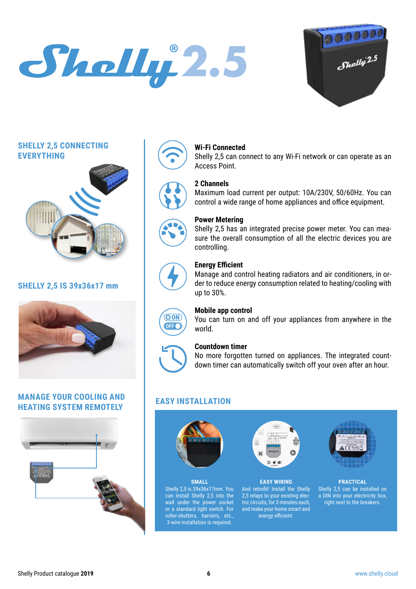## **2.5**



#### **SHELLY 2,5 CONNECTING EVERYTHING**



#### **SHELLY 2,5 IS 39x36x17 mm**



#### **MANAGE YOUR COOLING AND HEATING SYSTEM REMOTELY**











#### **Wi-Fi Connected**

Shelly 2,5 can connect to any Wi-Fi network or can operate as an Access Point.

#### **2 Channels**

Maximum load current per output: 10A/230V, 50/60Hz. You can control a wide range of home appliances and office equipment.

#### **Power Metering**

Shelly 2,5 has an integrated precise power meter. You can measure the overall consumption of all the electric devices you are controlling.

#### **Energy Efficient**

Manage and control heating radiators and air conditioners, in order to reduce energy consumption related to heating/cooling with up to 30%.



#### **Mobile app control**

You can turn on and off your appliances from anywhere in the world.



#### **Countdown timer**

No more forgotten turned on appliances. The integrated countdown timer can automatically switch off your oven after an hour.

#### **EASY INSTALLATION**







**EASY WIRING** And retrofit! Install the Shelly 2,5 relays to your existing electric circuits, for 3 minutes each, and make your home smart and energy efficient.



**PRACTICAL** Shelly 2,5 can be installed on a DIN into your electricity box, right next to the breakers.